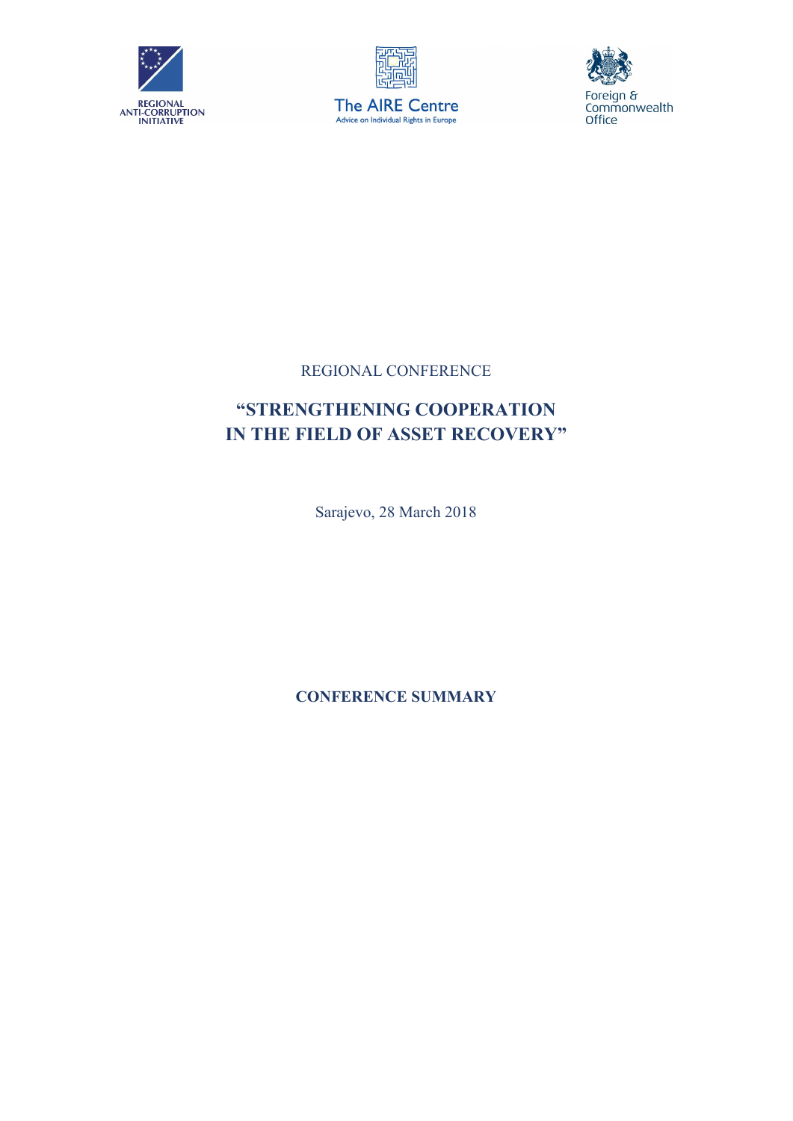





## REGIONAL CONFERENCE

## "STRENGTHENING COOPERATION IN THE FIELD OF ASSET RECOVERY"

Sarajevo, 28 March 2018

CONFERENCE SUMMARY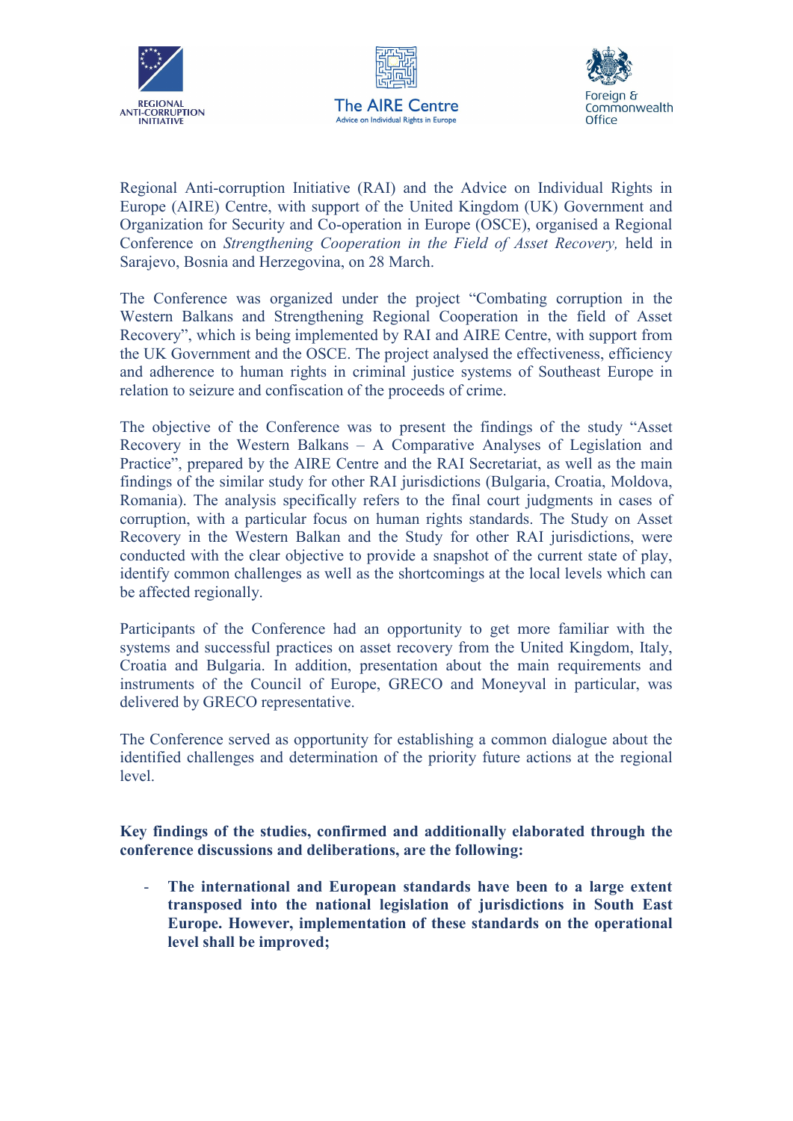





Regional Anti-corruption Initiative (RAI) and the Advice on Individual Rights in Europe (AIRE) Centre, with support of the United Kingdom (UK) Government and Organization for Security and Co-operation in Europe (OSCE), organised a Regional Conference on *Strengthening Cooperation in the Field of Asset Recovery,* held in Sarajevo, Bosnia and Herzegovina, on 28 March.

The Conference was organized under the project "Combating corruption in the Western Balkans and Strengthening Regional Cooperation in the field of Asset Recovery", which is being implemented by RAI and AIRE Centre, with support from the UK Government and the OSCE. The project analysed the effectiveness, efficiency and adherence to human rights in criminal justice systems of Southeast Europe in relation to seizure and confiscation of the proceeds of crime.

The objective of the Conference was to present the findings of the study "Asset Recovery in the Western Balkans – A Comparative Analyses of Legislation and Practice", prepared by the AIRE Centre and the RAI Secretariat, as well as the main findings of the similar study for other RAI jurisdictions (Bulgaria, Croatia, Moldova, Romania). The analysis specifically refers to the final court judgments in cases of corruption, with a particular focus on human rights standards. The Study on Asset Recovery in the Western Balkan and the Study for other RAI jurisdictions, were conducted with the clear objective to provide a snapshot of the current state of play, identify common challenges as well as the shortcomings at the local levels which can be affected regionally.

Participants of the Conference had an opportunity to get more familiar with the systems and successful practices on asset recovery from the United Kingdom, Italy, Croatia and Bulgaria. In addition, presentation about the main requirements and instruments of the Council of Europe, GRECO and Moneyval in particular, was delivered by GRECO representative.

The Conference served as opportunity for establishing a common dialogue about the identified challenges and determination of the priority future actions at the regional level.

Key findings of the studies, confirmed and additionally elaborated through the conference discussions and deliberations, are the following:

- The international and European standards have been to a large extent transposed into the national legislation of jurisdictions in South East Europe. However, implementation of these standards on the operational level shall be improved;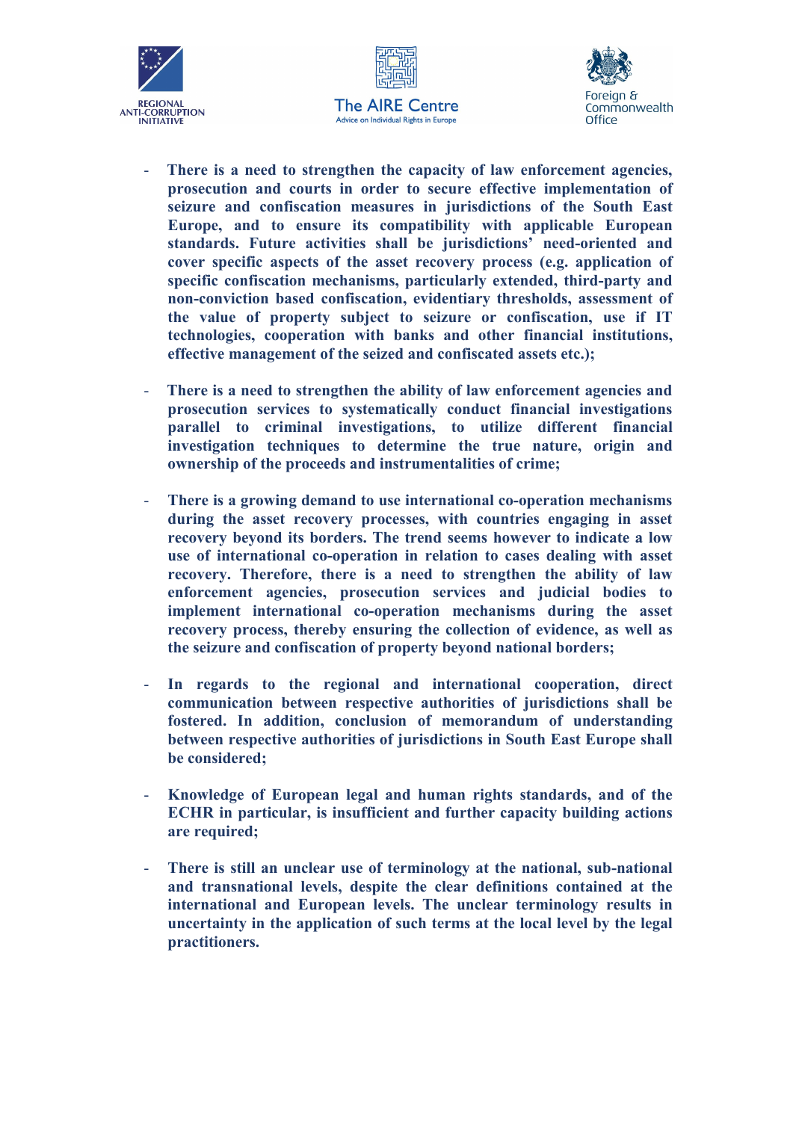





- There is a need to strengthen the capacity of law enforcement agencies, prosecution and courts in order to secure effective implementation of seizure and confiscation measures in jurisdictions of the South East Europe, and to ensure its compatibility with applicable European standards. Future activities shall be jurisdictions' need-oriented and cover specific aspects of the asset recovery process (e.g. application of specific confiscation mechanisms, particularly extended, third-party and non-conviction based confiscation, evidentiary thresholds, assessment of the value of property subject to seizure or confiscation, use if IT technologies, cooperation with banks and other financial institutions, effective management of the seized and confiscated assets etc.);
- There is a need to strengthen the ability of law enforcement agencies and prosecution services to systematically conduct financial investigations parallel to criminal investigations, to utilize different financial investigation techniques to determine the true nature, origin and ownership of the proceeds and instrumentalities of crime;
- There is a growing demand to use international co-operation mechanisms during the asset recovery processes, with countries engaging in asset recovery beyond its borders. The trend seems however to indicate a low use of international co-operation in relation to cases dealing with asset recovery. Therefore, there is a need to strengthen the ability of law enforcement agencies, prosecution services and judicial bodies to implement international co-operation mechanisms during the asset recovery process, thereby ensuring the collection of evidence, as well as the seizure and confiscation of property beyond national borders;
- In regards to the regional and international cooperation, direct communication between respective authorities of jurisdictions shall be fostered. In addition, conclusion of memorandum of understanding between respective authorities of jurisdictions in South East Europe shall be considered;
- Knowledge of European legal and human rights standards, and of the ECHR in particular, is insufficient and further capacity building actions are required;
- There is still an unclear use of terminology at the national, sub-national and transnational levels, despite the clear definitions contained at the international and European levels. The unclear terminology results in uncertainty in the application of such terms at the local level by the legal practitioners.